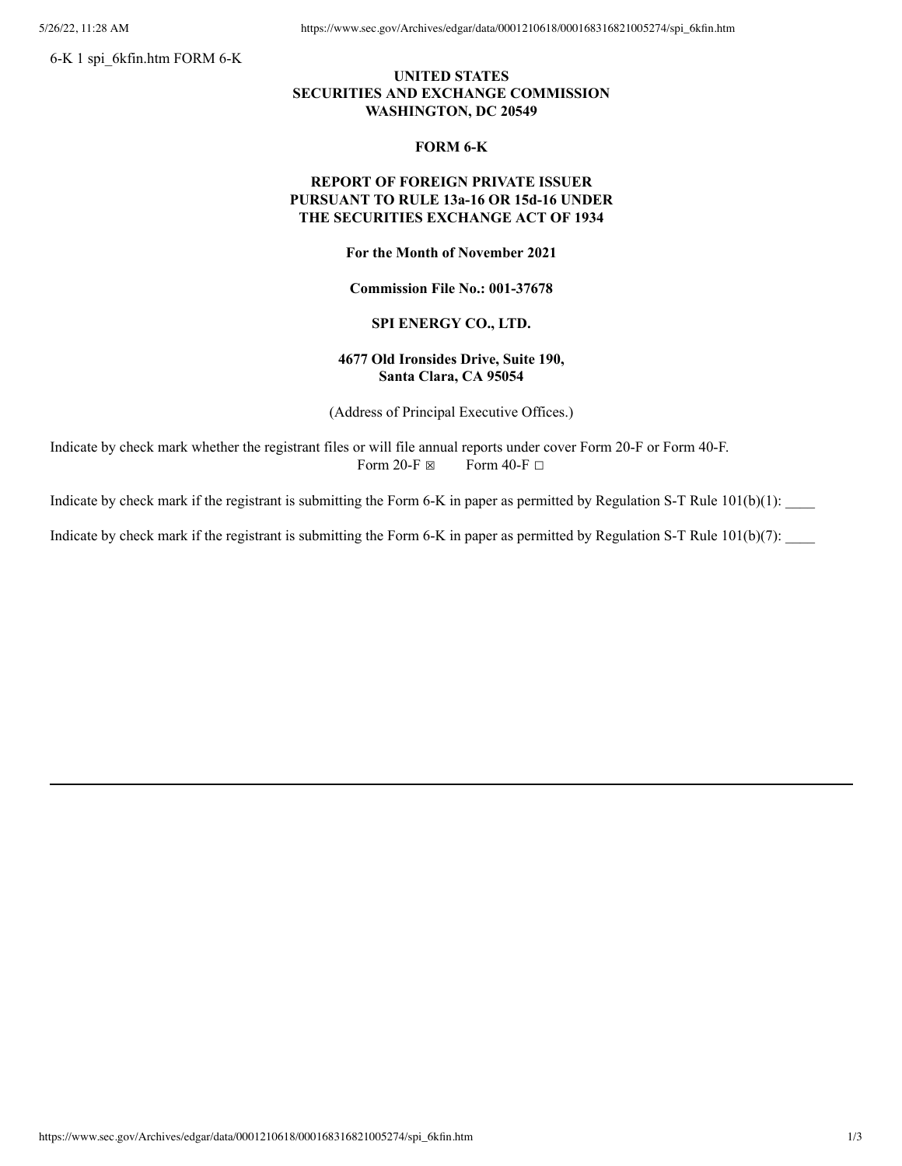6-K 1 spi\_6kfin.htm FORM 6-K

# **UNITED STATES SECURITIES AND EXCHANGE COMMISSION WASHINGTON, DC 20549**

#### **FORM 6-K**

# **REPORT OF FOREIGN PRIVATE ISSUER PURSUANT TO RULE 13a-16 OR 15d-16 UNDER THE SECURITIES EXCHANGE ACT OF 1934**

**For the Month of November 2021**

**Commission File No.: 001-37678**

## **SPI ENERGY CO., LTD.**

# **4677 Old Ironsides Drive, Suite 190, Santa Clara, CA 95054**

(Address of Principal Executive Offices.)

Indicate by check mark whether the registrant files or will file annual reports under cover Form 20-F or Form 40-F. Form 20-F  $\boxtimes$  Form 40-F  $\Box$ 

Indicate by check mark if the registrant is submitting the Form 6-K in paper as permitted by Regulation S-T Rule  $101(b)(1)$ :

Indicate by check mark if the registrant is submitting the Form 6-K in paper as permitted by Regulation S-T Rule 101(b)(7):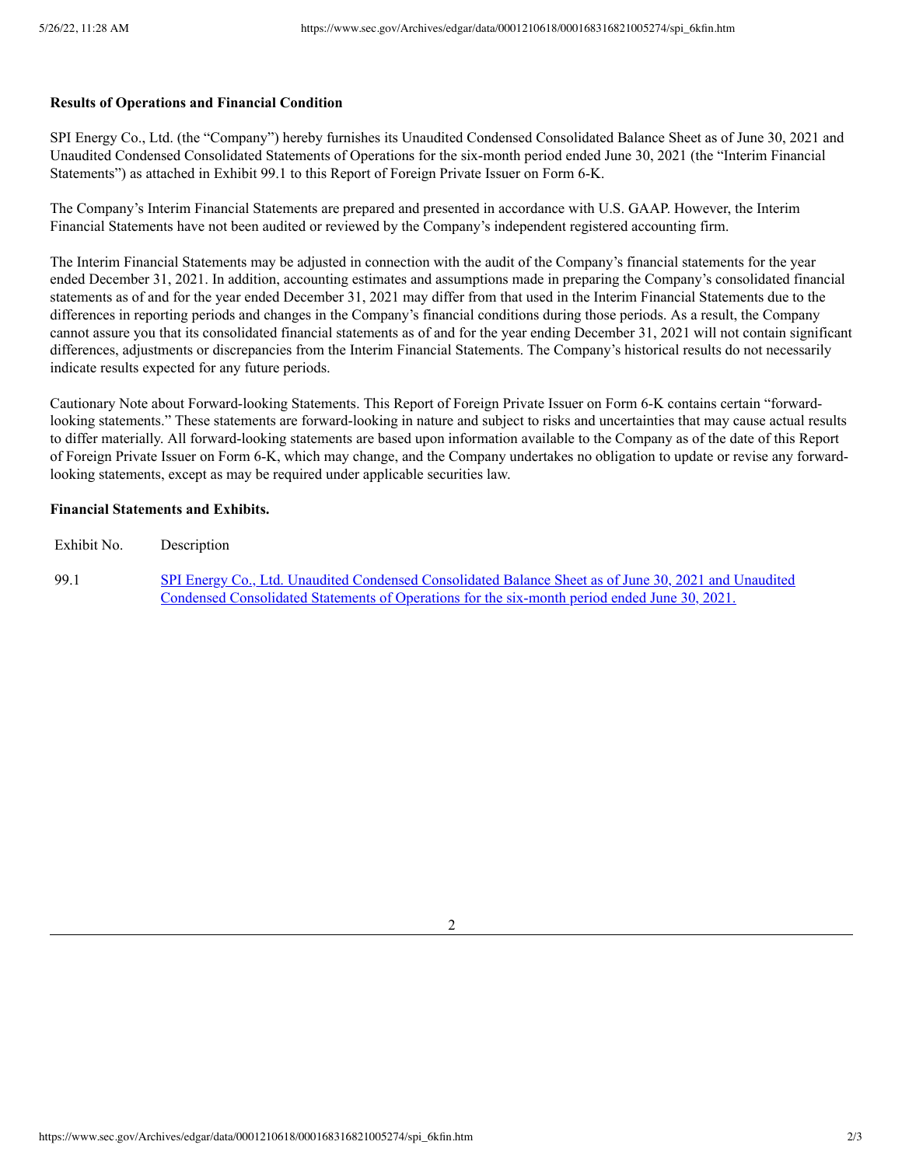#### **Results of Operations and Financial Condition**

SPI Energy Co., Ltd. (the "Company") hereby furnishes its Unaudited Condensed Consolidated Balance Sheet as of June 30, 2021 and Unaudited Condensed Consolidated Statements of Operations for the six-month period ended June 30, 2021 (the "Interim Financial Statements") as attached in Exhibit 99.1 to this Report of Foreign Private Issuer on Form 6-K.

The Company's Interim Financial Statements are prepared and presented in accordance with U.S. GAAP. However, the Interim Financial Statements have not been audited or reviewed by the Company's independent registered accounting firm.

The Interim Financial Statements may be adjusted in connection with the audit of the Company's financial statements for the year ended December 31, 2021. In addition, accounting estimates and assumptions made in preparing the Company's consolidated financial statements as of and for the year ended December 31, 2021 may differ from that used in the Interim Financial Statements due to the differences in reporting periods and changes in the Company's financial conditions during those periods. As a result, the Company cannot assure you that its consolidated financial statements as of and for the year ending December 31, 2021 will not contain significant differences, adjustments or discrepancies from the Interim Financial Statements. The Company's historical results do not necessarily indicate results expected for any future periods.

Cautionary Note about Forward-looking Statements. This Report of Foreign Private Issuer on Form 6-K contains certain "forwardlooking statements." These statements are forward-looking in nature and subject to risks and uncertainties that may cause actual results to differ materially. All forward-looking statements are based upon information available to the Company as of the date of this Report of Foreign Private Issuer on Form 6-K, which may change, and the Company undertakes no obligation to update or revise any forwardlooking statements, except as may be required under applicable securities law.

## **Financial Statements and Exhibits.**

Exhibit No. Description

99.1 SPI Energy Co., Ltd. Unaudited Condensed Consolidated Balance Sheet as of June 30, 2021 and Unaudited Condensed [Consolidated](https://www.sec.gov/Archives/edgar/data/0001210618/000168316821005274/spi_ex9901.htm) Statements of Operations for the six-month period ended June 30, 2021.

2